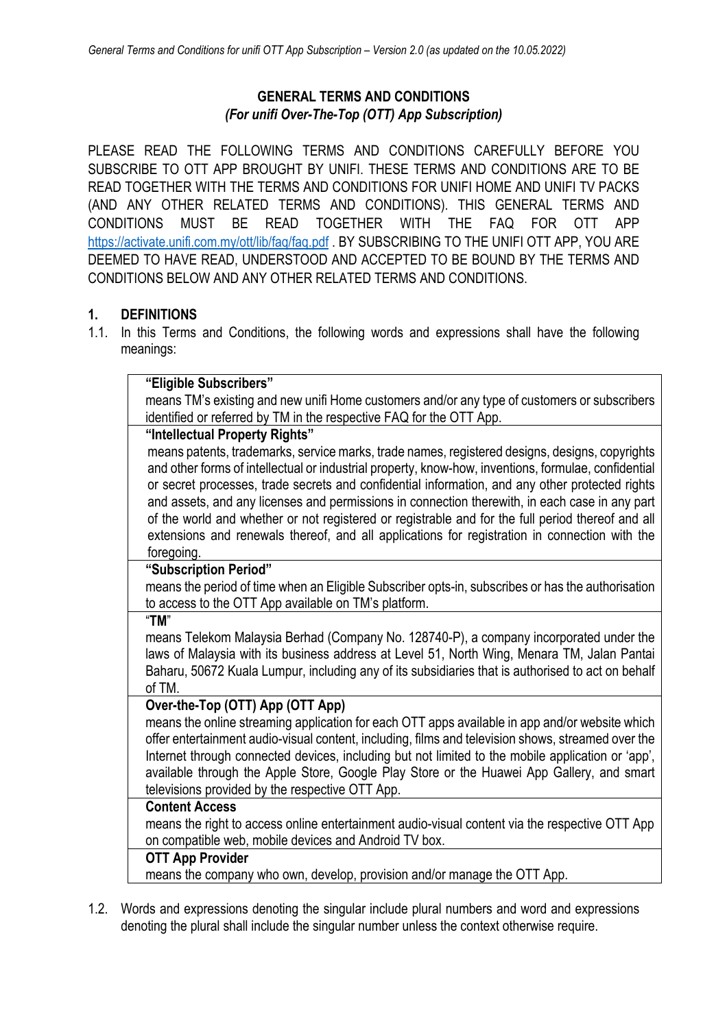## **GENERAL TERMS AND CONDITIONS** *(For unifi Over-The-Top (OTT) App Subscription)*

PLEASE READ THE FOLLOWING TERMS AND CONDITIONS CAREFULLY BEFORE YOU SUBSCRIBE TO OTT APP BROUGHT BY UNIFI. THESE TERMS AND CONDITIONS ARE TO BE READ TOGETHER WITH THE TERMS AND CONDITIONS FOR UNIFI HOME AND UNIFI TV PACKS (AND ANY OTHER RELATED TERMS AND CONDITIONS). THIS GENERAL TERMS AND CONDITIONS MUST BE READ TOGETHER WITH THE FAQ FOR OTT APP https://activate.unifi.com.my/ott/lib/faq/faq.pdf . BY SUBSCRIBING TO THE UNIFI OTT APP, YOU ARE DEEMED TO HAVE READ, UNDERSTOOD AND ACCEPTED TO BE BOUND BY THE TERMS AND CONDITIONS BELOW AND ANY OTHER RELATED TERMS AND CONDITIONS.

## **1. DEFINITIONS**

1.1. In this Terms and Conditions, the following words and expressions shall have the following meanings:

| "Eligible Subscribers"                                                                               |
|------------------------------------------------------------------------------------------------------|
| means TM's existing and new unifi Home customers and/or any type of customers or subscribers         |
| identified or referred by TM in the respective FAQ for the OTT App.                                  |
| "Intellectual Property Rights"                                                                       |
| means patents, trademarks, service marks, trade names, registered designs, designs, copyrights       |
| and other forms of intellectual or industrial property, know-how, inventions, formulae, confidential |
| or secret processes, trade secrets and confidential information, and any other protected rights      |
| and assets, and any licenses and permissions in connection therewith, in each case in any part       |
| of the world and whether or not registered or registrable and for the full period thereof and all    |
| extensions and renewals thereof, and all applications for registration in connection with the        |
| foregoing.                                                                                           |
| "Subscription Period"                                                                                |
| means the period of time when an Eligible Subscriber opts-in, subscribes or has the authorisation    |
| to access to the OTT App available on TM's platform.                                                 |
| "TM"                                                                                                 |
| means Telekom Malaysia Berhad (Company No. 128740-P), a company incorporated under the               |
| laws of Malaysia with its business address at Level 51, North Wing, Menara TM, Jalan Pantai          |
| Baharu, 50672 Kuala Lumpur, including any of its subsidiaries that is authorised to act on behalf    |
| of TM.                                                                                               |
| Over-the-Top (OTT) App (OTT App)                                                                     |
| means the online streaming application for each OTT apps available in app and/or website which       |
| offer entertainment audio-visual content, including, films and television shows, streamed over the   |
| Internet through connected devices, including but not limited to the mobile application or 'app',    |
| available through the Apple Store, Google Play Store or the Huawei App Gallery, and smart            |
| televisions provided by the respective OTT App.                                                      |
| <b>Content Access</b>                                                                                |
| means the right to access online entertainment audio-visual content via the respective OTT App       |
| on compatible web, mobile devices and Android TV box.                                                |
| <b>OTT App Provider</b>                                                                              |
| means the company who own, develop, provision and/or manage the OTT App.                             |

1.2. Words and expressions denoting the singular include plural numbers and word and expressions denoting the plural shall include the singular number unless the context otherwise require.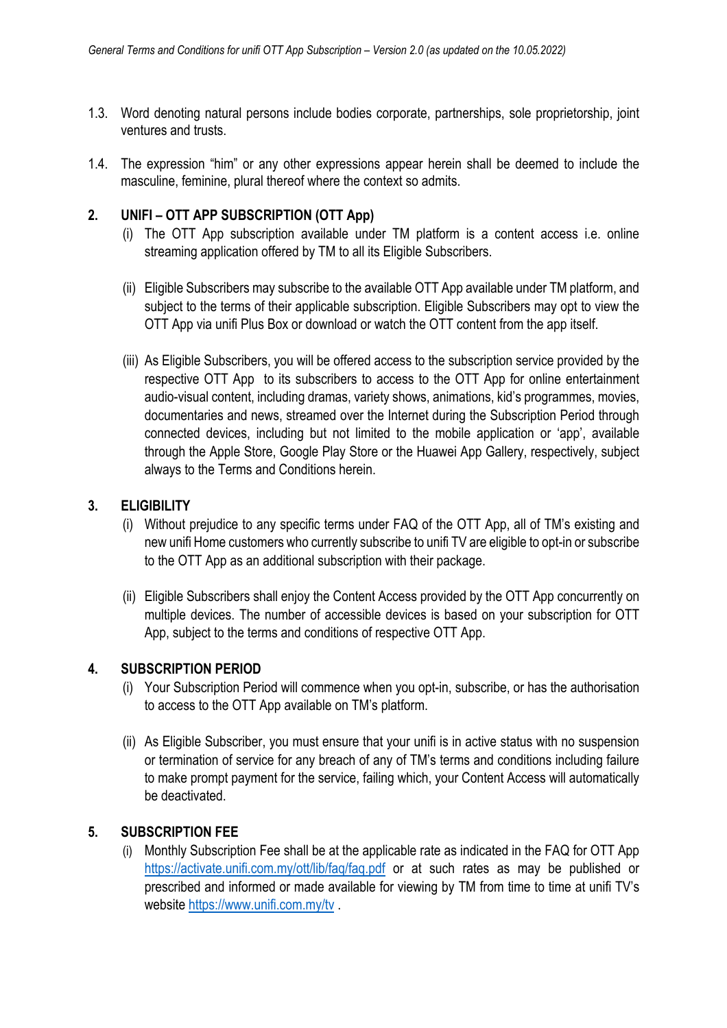- 1.3. Word denoting natural persons include bodies corporate, partnerships, sole proprietorship, joint ventures and trusts.
- 1.4. The expression "him" or any other expressions appear herein shall be deemed to include the masculine, feminine, plural thereof where the context so admits.

## **2. UNIFI – OTT APP SUBSCRIPTION (OTT App)**

- (i) The OTT App subscription available under TM platform is a content access i.e. online streaming application offered by TM to all its Eligible Subscribers.
- (ii) Eligible Subscribers may subscribe to the available OTT App available under TM platform, and subject to the terms of their applicable subscription. Eligible Subscribers may opt to view the OTT App via unifi Plus Box or download or watch the OTT content from the app itself.
- (iii) As Eligible Subscribers, you will be offered access to the subscription service provided by the respective OTT App to its subscribers to access to the OTT App for online entertainment audio-visual content, including dramas, variety shows, animations, kid's programmes, movies, documentaries and news, streamed over the Internet during the Subscription Period through connected devices, including but not limited to the mobile application or 'app', available through the Apple Store, Google Play Store or the Huawei App Gallery, respectively, subject always to the Terms and Conditions herein.

### **3. ELIGIBILITY**

- (i) Without prejudice to any specific terms under FAQ of the OTT App, all of TM's existing and new unifi Home customers who currently subscribe to unifi TV are eligible to opt-in or subscribe to the OTT App as an additional subscription with their package.
- (ii) Eligible Subscribers shall enjoy the Content Access provided by the OTT App concurrently on multiple devices. The number of accessible devices is based on your subscription for OTT App, subject to the terms and conditions of respective OTT App.

#### **4. SUBSCRIPTION PERIOD**

- (i) Your Subscription Period will commence when you opt-in, subscribe, or has the authorisation to access to the OTT App available on TM's platform.
- (ii) As Eligible Subscriber, you must ensure that your unifi is in active status with no suspension or termination of service for any breach of any of TM's terms and conditions including failure to make prompt payment for the service, failing which, your Content Access will automatically be deactivated.

## **5. SUBSCRIPTION FEE**

(i) Monthly Subscription Fee shall be at the applicable rate as indicated in the FAQ for OTT App https://activate.unifi.com.my/ott/lib/faq/faq.pdf or at such rates as may be published or prescribed and informed or made available for viewing by TM from time to time at unifi TV's website https://www.unifi.com.my/tv .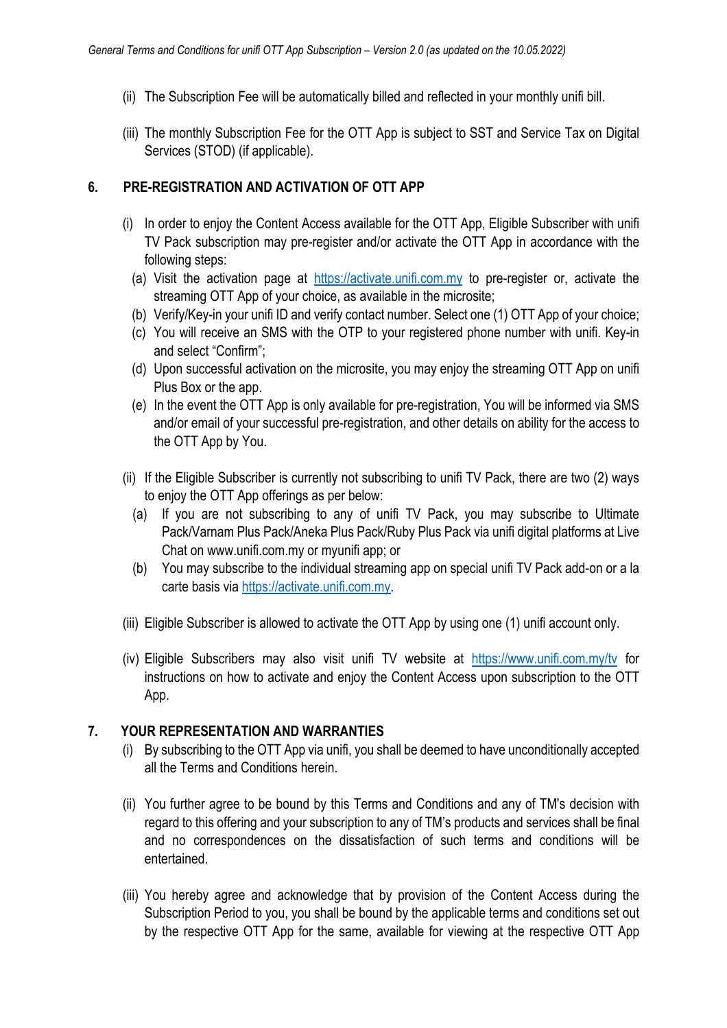- (ii) The Subscription Fee will be automatically billed and reflected in your monthly unifi bill.
- (iii) The monthly Subscription Fee for the OTT App is subject to SST and Service Tax on Digital Services (STOD) (if applicable).

# **6. PRE-REGISTRATION AND ACTIVATION OF OTT APP**

- (i) In order to enjoy the Content Access available for the OTT App, Eligible Subscriber with unifi TV Pack subscription may pre-register and/or activate the OTT App in accordance with the following steps:
	- (a) Visit the activation page at https://activate.unifi.com.my to pre-register or, activate the streaming OTT App of your choice, as available in the microsite;
	- (b) Verify/Key-in your unifi ID and verify contact number. Select one (1) OTT App of your choice;
	- (c) You will receive an SMS with the OTP to your registered phone number with unifi. Key-in and select "Confirm";
	- (d) Upon successful activation on the microsite, you may enjoy the streaming OTT App on unifi Plus Box or the app.
	- (e) In the event the OTT App is only available for pre-registration, You will be informed via SMS and/or email of your successful pre-registration, and other details on ability for the access to the OTT App by You.
- (ii) If the Eligible Subscriber is currently not subscribing to unifi TV Pack, there are two (2) ways to enjoy the OTT App offerings as per below:
	- (a) If you are not subscribing to any of unifi TV Pack, you may subscribe to Ultimate Pack/Varnam Plus Pack/Aneka Plus Pack/Ruby Plus Pack via unifi digital platforms at Live Chat on www.unifi.com.my or myunifi app; or
	- (b) You may subscribe to the individual streaming app on special unifi TV Pack add-on or a la carte basis via https://activate.unifi.com.my.
- (iii) Eligible Subscriber is allowed to activate the OTT App by using one (1) unifi account only.
- (iv) Eligible Subscribers may also visit unifi TV website at https://www.unifi.com.my/tv for instructions on how to activate and enjoy the Content Access upon subscription to the OTT App.

# **7. YOUR REPRESENTATION AND WARRANTIES**

- (i) By subscribing to the OTT App via unifi, you shall be deemed to have unconditionally accepted all the Terms and Conditions herein.
- (ii) You further agree to be bound by this Terms and Conditions and any of TM's decision with regard to this offering and your subscription to any of TM's products and services shall be final and no correspondences on the dissatisfaction of such terms and conditions will be entertained.
- (iii) You hereby agree and acknowledge that by provision of the Content Access during the Subscription Period to you, you shall be bound by the applicable terms and conditions set out by the respective OTT App for the same, available for viewing at the respective OTT App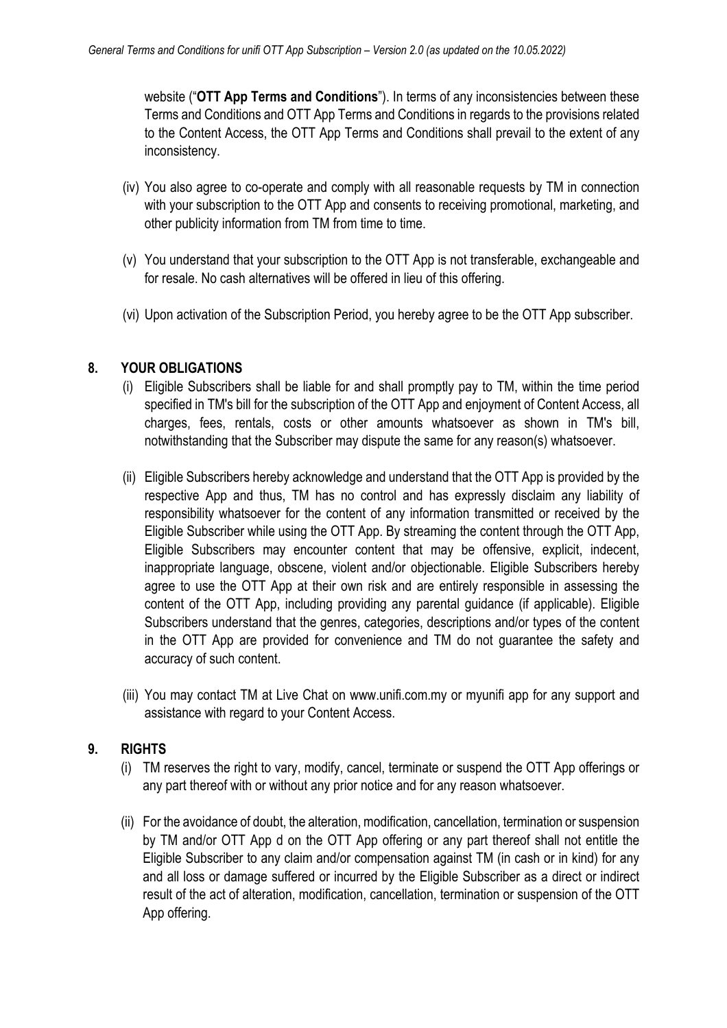website ("**OTT App Terms and Conditions**"). In terms of any inconsistencies between these Terms and Conditions and OTT App Terms and Conditions in regards to the provisions related to the Content Access, the OTT App Terms and Conditions shall prevail to the extent of any inconsistency.

- (iv) You also agree to co-operate and comply with all reasonable requests by TM in connection with your subscription to the OTT App and consents to receiving promotional, marketing, and other publicity information from TM from time to time.
- (v) You understand that your subscription to the OTT App is not transferable, exchangeable and for resale. No cash alternatives will be offered in lieu of this offering.
- (vi) Upon activation of the Subscription Period, you hereby agree to be the OTT App subscriber.

### **8. YOUR OBLIGATIONS**

- (i) Eligible Subscribers shall be liable for and shall promptly pay to TM, within the time period specified in TM's bill for the subscription of the OTT App and enjoyment of Content Access, all charges, fees, rentals, costs or other amounts whatsoever as shown in TM's bill, notwithstanding that the Subscriber may dispute the same for any reason(s) whatsoever.
- (ii) Eligible Subscribers hereby acknowledge and understand that the OTT App is provided by the respective App and thus, TM has no control and has expressly disclaim any liability of responsibility whatsoever for the content of any information transmitted or received by the Eligible Subscriber while using the OTT App. By streaming the content through the OTT App, Eligible Subscribers may encounter content that may be offensive, explicit, indecent, inappropriate language, obscene, violent and/or objectionable. Eligible Subscribers hereby agree to use the OTT App at their own risk and are entirely responsible in assessing the content of the OTT App, including providing any parental guidance (if applicable). Eligible Subscribers understand that the genres, categories, descriptions and/or types of the content in the OTT App are provided for convenience and TM do not guarantee the safety and accuracy of such content.
- (iii) You may contact TM at Live Chat on www.unifi.com.my or myunifi app for any support and assistance with regard to your Content Access.

## **9. RIGHTS**

- (i) TM reserves the right to vary, modify, cancel, terminate or suspend the OTT App offerings or any part thereof with or without any prior notice and for any reason whatsoever.
- (ii) For the avoidance of doubt, the alteration, modification, cancellation, termination or suspension by TM and/or OTT App d on the OTT App offering or any part thereof shall not entitle the Eligible Subscriber to any claim and/or compensation against TM (in cash or in kind) for any and all loss or damage suffered or incurred by the Eligible Subscriber as a direct or indirect result of the act of alteration, modification, cancellation, termination or suspension of the OTT App offering.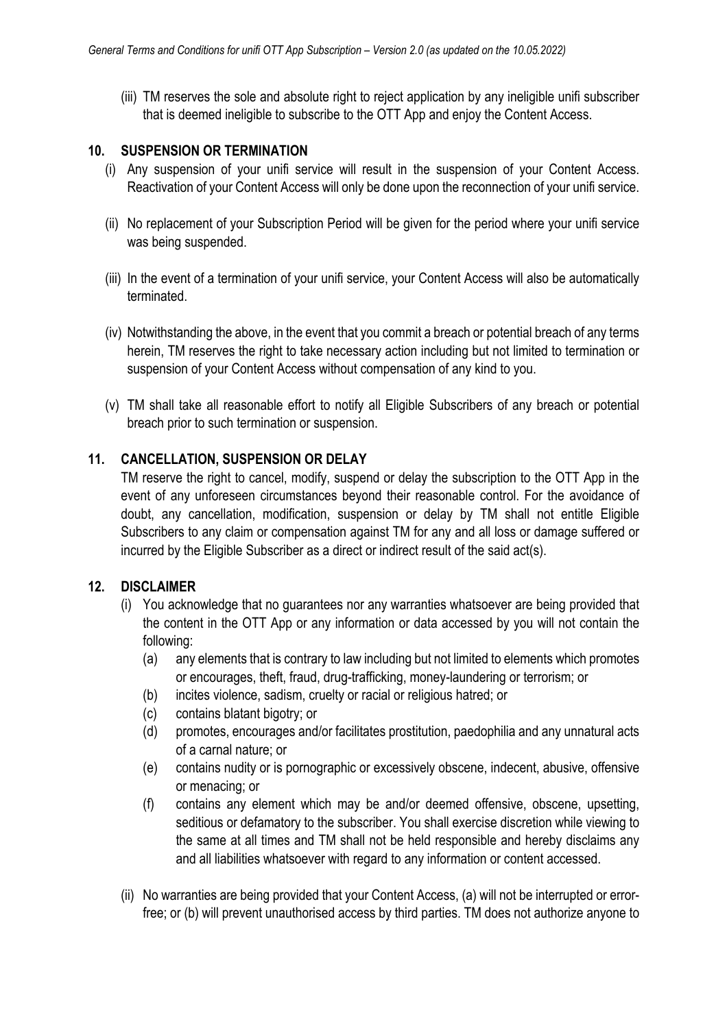(iii) TM reserves the sole and absolute right to reject application by any ineligible unifi subscriber that is deemed ineligible to subscribe to the OTT App and enjoy the Content Access.

## **10. SUSPENSION OR TERMINATION**

- (i) Any suspension of your unifi service will result in the suspension of your Content Access. Reactivation of your Content Access will only be done upon the reconnection of your unifi service.
- (ii) No replacement of your Subscription Period will be given for the period where your unifi service was being suspended.
- (iii) In the event of a termination of your unifi service, your Content Access will also be automatically terminated.
- (iv) Notwithstanding the above, in the event that you commit a breach or potential breach of any terms herein, TM reserves the right to take necessary action including but not limited to termination or suspension of your Content Access without compensation of any kind to you.
- (v) TM shall take all reasonable effort to notify all Eligible Subscribers of any breach or potential breach prior to such termination or suspension.

## **11. CANCELLATION, SUSPENSION OR DELAY**

TM reserve the right to cancel, modify, suspend or delay the subscription to the OTT App in the event of any unforeseen circumstances beyond their reasonable control. For the avoidance of doubt, any cancellation, modification, suspension or delay by TM shall not entitle Eligible Subscribers to any claim or compensation against TM for any and all loss or damage suffered or incurred by the Eligible Subscriber as a direct or indirect result of the said act(s).

## **12. DISCLAIMER**

- (i) You acknowledge that no guarantees nor any warranties whatsoever are being provided that the content in the OTT App or any information or data accessed by you will not contain the following:
	- (a) any elements that is contrary to law including but not limited to elements which promotes or encourages, theft, fraud, drug-trafficking, money-laundering or terrorism; or
	- (b) incites violence, sadism, cruelty or racial or religious hatred; or
	- (c) contains blatant bigotry; or
	- (d) promotes, encourages and/or facilitates prostitution, paedophilia and any unnatural acts of a carnal nature; or
	- (e) contains nudity or is pornographic or excessively obscene, indecent, abusive, offensive or menacing; or
	- (f) contains any element which may be and/or deemed offensive, obscene, upsetting, seditious or defamatory to the subscriber. You shall exercise discretion while viewing to the same at all times and TM shall not be held responsible and hereby disclaims any and all liabilities whatsoever with regard to any information or content accessed.
- (ii) No warranties are being provided that your Content Access, (a) will not be interrupted or errorfree; or (b) will prevent unauthorised access by third parties. TM does not authorize anyone to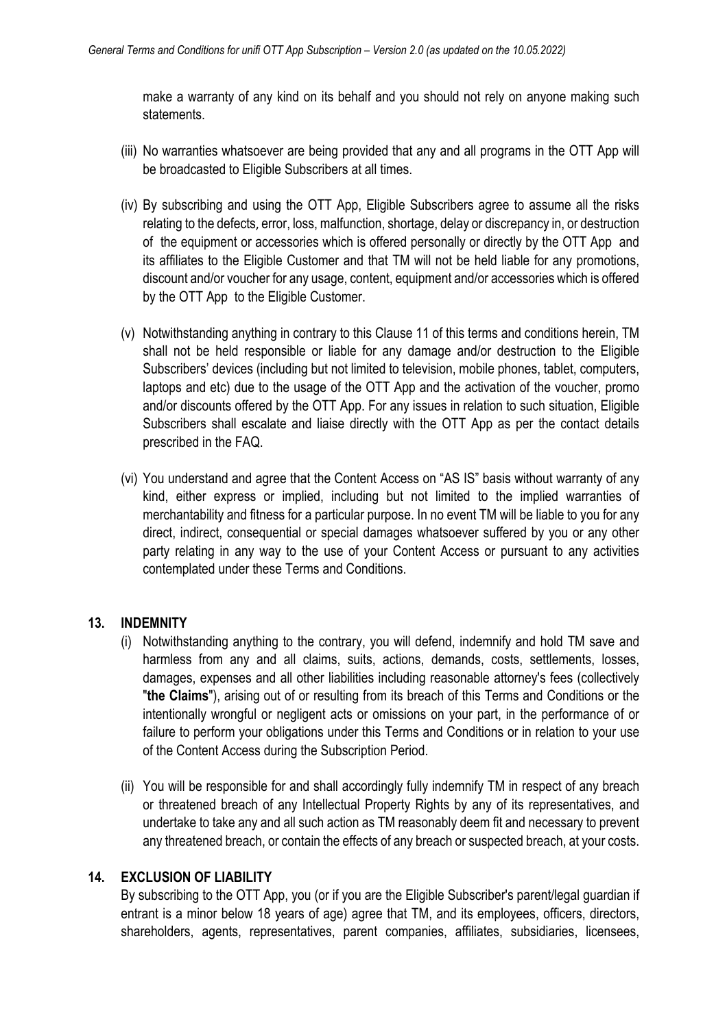make a warranty of any kind on its behalf and you should not rely on anyone making such statements.

- (iii) No warranties whatsoever are being provided that any and all programs in the OTT App will be broadcasted to Eligible Subscribers at all times.
- (iv) By subscribing and using the OTT App, Eligible Subscribers agree to assume all the risks relating to the defects, error, loss, malfunction, shortage, delay or discrepancy in, or destruction of the equipment or accessories which is offered personally or directly by the OTT App and its affiliates to the Eligible Customer and that TM will not be held liable for any promotions, discount and/or voucher for any usage, content, equipment and/or accessories which is offered by the OTT App to the Eligible Customer.
- (v) Notwithstanding anything in contrary to this Clause 11 of this terms and conditions herein, TM shall not be held responsible or liable for any damage and/or destruction to the Eligible Subscribers' devices (including but not limited to television, mobile phones, tablet, computers, laptops and etc) due to the usage of the OTT App and the activation of the voucher, promo and/or discounts offered by the OTT App. For any issues in relation to such situation, Eligible Subscribers shall escalate and liaise directly with the OTT App as per the contact details prescribed in the FAQ.
- (vi) You understand and agree that the Content Access on "AS IS" basis without warranty of any kind, either express or implied, including but not limited to the implied warranties of merchantability and fitness for a particular purpose. In no event TM will be liable to you for any direct, indirect, consequential or special damages whatsoever suffered by you or any other party relating in any way to the use of your Content Access or pursuant to any activities contemplated under these Terms and Conditions.

## **13. INDEMNITY**

- (i) Notwithstanding anything to the contrary, you will defend, indemnify and hold TM save and harmless from any and all claims, suits, actions, demands, costs, settlements, losses, damages, expenses and all other liabilities including reasonable attorney's fees (collectively "**the Claims**"), arising out of or resulting from its breach of this Terms and Conditions or the intentionally wrongful or negligent acts or omissions on your part, in the performance of or failure to perform your obligations under this Terms and Conditions or in relation to your use of the Content Access during the Subscription Period.
- (ii) You will be responsible for and shall accordingly fully indemnify TM in respect of any breach or threatened breach of any Intellectual Property Rights by any of its representatives, and undertake to take any and all such action as TM reasonably deem fit and necessary to prevent any threatened breach, or contain the effects of any breach or suspected breach, at your costs.

#### **14. EXCLUSION OF LIABILITY**

By subscribing to the OTT App, you (or if you are the Eligible Subscriber's parent/legal guardian if entrant is a minor below 18 years of age) agree that TM, and its employees, officers, directors, shareholders, agents, representatives, parent companies, affiliates, subsidiaries, licensees,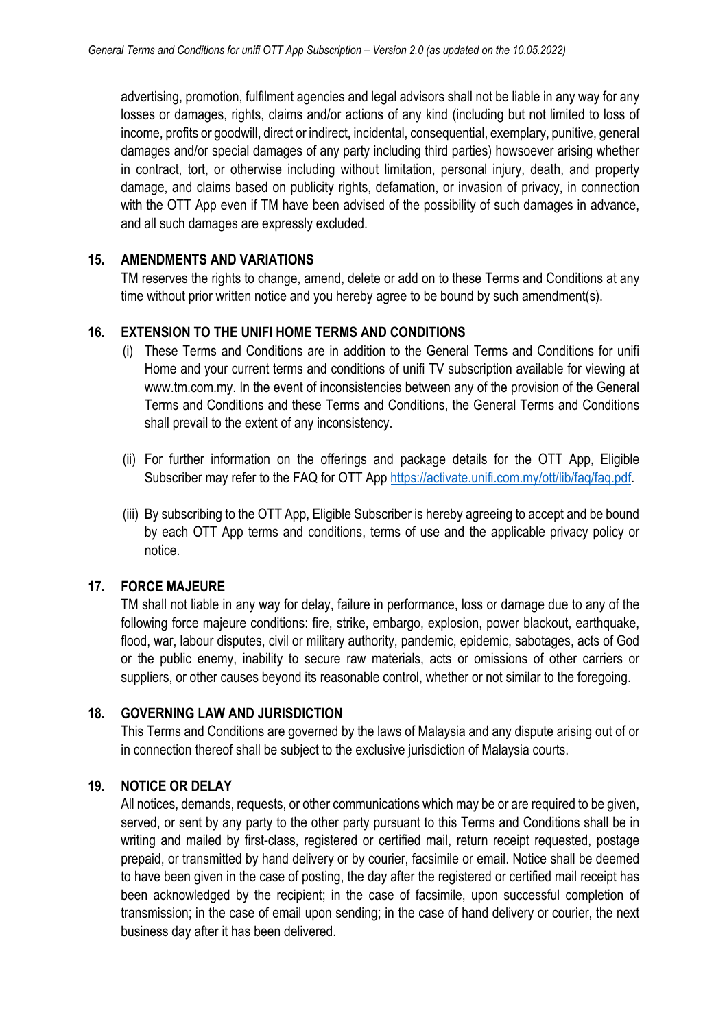advertising, promotion, fulfilment agencies and legal advisors shall not be liable in any way for any losses or damages, rights, claims and/or actions of any kind (including but not limited to loss of income, profits or goodwill, direct or indirect, incidental, consequential, exemplary, punitive, general damages and/or special damages of any party including third parties) howsoever arising whether in contract, tort, or otherwise including without limitation, personal injury, death, and property damage, and claims based on publicity rights, defamation, or invasion of privacy, in connection with the OTT App even if TM have been advised of the possibility of such damages in advance, and all such damages are expressly excluded.

### **15. AMENDMENTS AND VARIATIONS**

TM reserves the rights to change, amend, delete or add on to these Terms and Conditions at any time without prior written notice and you hereby agree to be bound by such amendment(s).

### **16. EXTENSION TO THE UNIFI HOME TERMS AND CONDITIONS**

- (i) These Terms and Conditions are in addition to the General Terms and Conditions for unifi Home and your current terms and conditions of unifi TV subscription available for viewing at www.tm.com.my. In the event of inconsistencies between any of the provision of the General Terms and Conditions and these Terms and Conditions, the General Terms and Conditions shall prevail to the extent of any inconsistency.
- (ii) For further information on the offerings and package details for the OTT App, Eligible Subscriber may refer to the FAQ for OTT App https://activate.unifi.com.my/ott/lib/faq/faq.pdf.
- (iii) By subscribing to the OTT App, Eligible Subscriber is hereby agreeing to accept and be bound by each OTT App terms and conditions, terms of use and the applicable privacy policy or notice.

#### **17. FORCE MAJEURE**

TM shall not liable in any way for delay, failure in performance, loss or damage due to any of the following force majeure conditions: fire, strike, embargo, explosion, power blackout, earthquake, flood, war, labour disputes, civil or military authority, pandemic, epidemic, sabotages, acts of God or the public enemy, inability to secure raw materials, acts or omissions of other carriers or suppliers, or other causes beyond its reasonable control, whether or not similar to the foregoing.

#### **18. GOVERNING LAW AND JURISDICTION**

This Terms and Conditions are governed by the laws of Malaysia and any dispute arising out of or in connection thereof shall be subject to the exclusive jurisdiction of Malaysia courts.

#### **19. NOTICE OR DELAY**

All notices, demands, requests, or other communications which may be or are required to be given, served, or sent by any party to the other party pursuant to this Terms and Conditions shall be in writing and mailed by first-class, registered or certified mail, return receipt requested, postage prepaid, or transmitted by hand delivery or by courier, facsimile or email. Notice shall be deemed to have been given in the case of posting, the day after the registered or certified mail receipt has been acknowledged by the recipient; in the case of facsimile, upon successful completion of transmission; in the case of email upon sending; in the case of hand delivery or courier, the next business day after it has been delivered.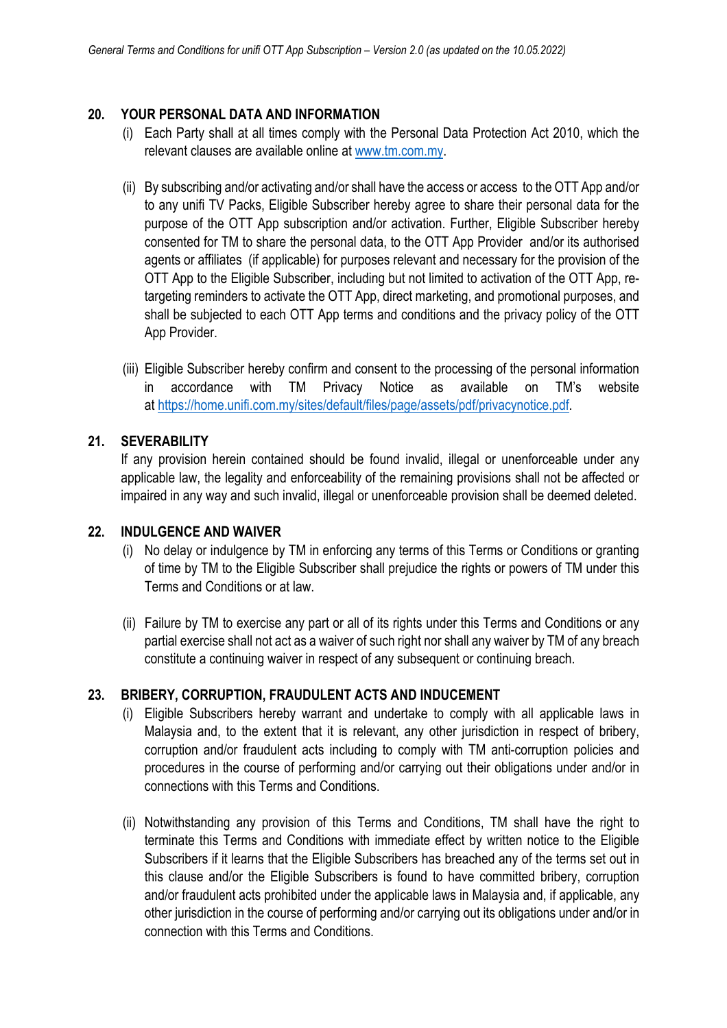### **20. YOUR PERSONAL DATA AND INFORMATION**

- (i) Each Party shall at all times comply with the Personal Data Protection Act 2010, which the relevant clauses are available online at www.tm.com.my.
- (ii) By subscribing and/or activating and/or shall have the access or access to the OTT App and/or to any unifi TV Packs, Eligible Subscriber hereby agree to share their personal data for the purpose of the OTT App subscription and/or activation. Further, Eligible Subscriber hereby consented for TM to share the personal data, to the OTT App Provider and/or its authorised agents or affiliates (if applicable) for purposes relevant and necessary for the provision of the OTT App to the Eligible Subscriber, including but not limited to activation of the OTT App, retargeting reminders to activate the OTT App, direct marketing, and promotional purposes, and shall be subjected to each OTT App terms and conditions and the privacy policy of the OTT App Provider.
- (iii) Eligible Subscriber hereby confirm and consent to the processing of the personal information in accordance with TM Privacy Notice as available on TM's website at https://home.unifi.com.my/sites/default/files/page/assets/pdf/privacynotice.pdf.

## **21. SEVERABILITY**

If any provision herein contained should be found invalid, illegal or unenforceable under any applicable law, the legality and enforceability of the remaining provisions shall not be affected or impaired in any way and such invalid, illegal or unenforceable provision shall be deemed deleted.

#### **22. INDULGENCE AND WAIVER**

- (i) No delay or indulgence by TM in enforcing any terms of this Terms or Conditions or granting of time by TM to the Eligible Subscriber shall prejudice the rights or powers of TM under this Terms and Conditions or at law.
- (ii) Failure by TM to exercise any part or all of its rights under this Terms and Conditions or any partial exercise shall not act as a waiver of such right nor shall any waiver by TM of any breach constitute a continuing waiver in respect of any subsequent or continuing breach.

#### **23. BRIBERY, CORRUPTION, FRAUDULENT ACTS AND INDUCEMENT**

- (i) Eligible Subscribers hereby warrant and undertake to comply with all applicable laws in Malaysia and, to the extent that it is relevant, any other jurisdiction in respect of bribery, corruption and/or fraudulent acts including to comply with TM anti-corruption policies and procedures in the course of performing and/or carrying out their obligations under and/or in connections with this Terms and Conditions.
- (ii) Notwithstanding any provision of this Terms and Conditions, TM shall have the right to terminate this Terms and Conditions with immediate effect by written notice to the Eligible Subscribers if it learns that the Eligible Subscribers has breached any of the terms set out in this clause and/or the Eligible Subscribers is found to have committed bribery, corruption and/or fraudulent acts prohibited under the applicable laws in Malaysia and, if applicable, any other jurisdiction in the course of performing and/or carrying out its obligations under and/or in connection with this Terms and Conditions.